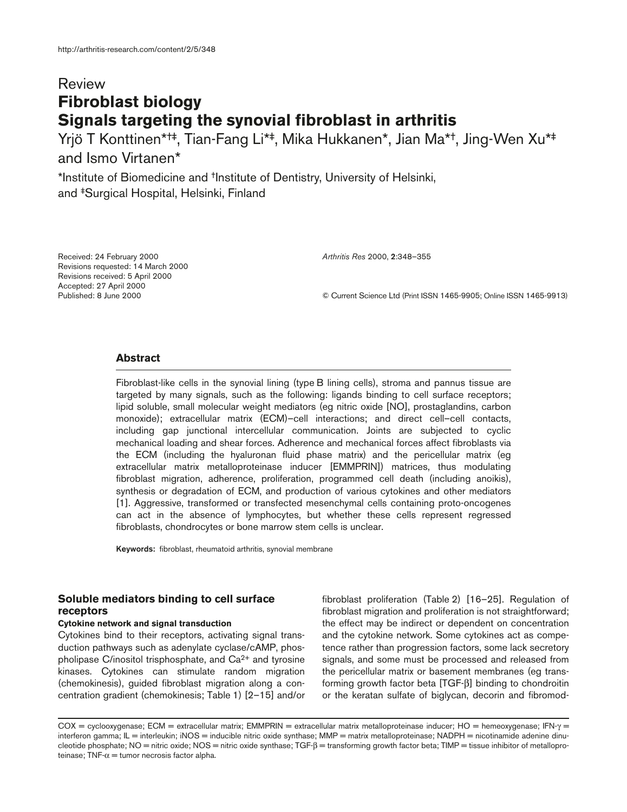# Review **Fibroblast biology Signals targeting the synovial fibroblast in arthritis**

Yrjö T Konttinen\*†‡, Tian-Fang Li\*‡, Mika Hukkanen\*, Jian Ma\*†, Jing-Wen Xu\*‡ and Ismo Virtanen\*

\*Institute of Biomedicine and †Institute of Dentistry, University of Helsinki, and ‡Surgical Hospital, Helsinki, Finland

Received: 24 February 2000 Revisions requested: 14 March 2000 Revisions received: 5 April 2000 Accepted: 27 April 2000 Published: 8 June 2000

*Arthritis Res* 2000, **2**:348–355

© Current Science Ltd (Print ISSN 1465-9905; Online ISSN 1465-9913)

# **Abstract**

Fibroblast-like cells in the synovial lining (type B lining cells), stroma and pannus tissue are targeted by many signals, such as the following: ligands binding to cell surface receptors; lipid soluble, small molecular weight mediators (eg nitric oxide [NO], prostaglandins, carbon monoxide); extracellular matrix (ECM)–cell interactions; and direct cell–cell contacts, including gap junctional intercellular communication. Joints are subjected to cyclic mechanical loading and shear forces. Adherence and mechanical forces affect fibroblasts via the ECM (including the hyaluronan fluid phase matrix) and the pericellular matrix (eg extracellular matrix metalloproteinase inducer [EMMPRIN]) matrices, thus modulating fibroblast migration, adherence, proliferation, programmed cell death (including anoikis), synthesis or degradation of ECM, and production of various cytokines and other mediators [1]. Aggressive, transformed or transfected mesenchymal cells containing proto-oncogenes can act in the absence of lymphocytes, but whether these cells represent regressed fibroblasts, chondrocytes or bone marrow stem cells is unclear.

**Keywords:** fibroblast, rheumatoid arthritis, synovial membrane

# **Soluble mediators binding to cell surface receptors**

## **Cytokine network and signal transduction**

Cytokines bind to their receptors, activating signal transduction pathways such as adenylate cyclase/cAMP, phospholipase C/inositol trisphosphate, and  $Ca<sup>2+</sup>$  and tyrosine kinases. Cytokines can stimulate random migration (chemokinesis), guided fibroblast migration along a concentration gradient (chemokinesis; Table 1) [2–15] and/or fibroblast proliferation (Table 2) [16–25]. Regulation of fibroblast migration and proliferation is not straightforward; the effect may be indirect or dependent on concentration and the cytokine network. Some cytokines act as competence rather than progression factors, some lack secretory signals, and some must be processed and released from the pericellular matrix or basement membranes (eg transforming growth factor beta [TGF-β] binding to chondroitin or the keratan sulfate of biglycan, decorin and fibromod-

COX = cyclooxygenase; ECM = extracellular matrix; EMMPRIN = extracellular matrix metalloproteinase inducer; HO = hemeoxygenase; IFN-γ = interferon gamma; IL = interleukin; iNOS = inducible nitric oxide synthase; MMP = matrix metalloproteinase; NADPH = nicotinamide adenine dinucleotide phosphate; NO = nitric oxide; NOS = nitric oxide synthase; TGF-β = transforming growth factor beta; TIMP = tissue inhibitor of metalloproteinase; TNF- $\alpha$  = tumor necrosis factor alpha.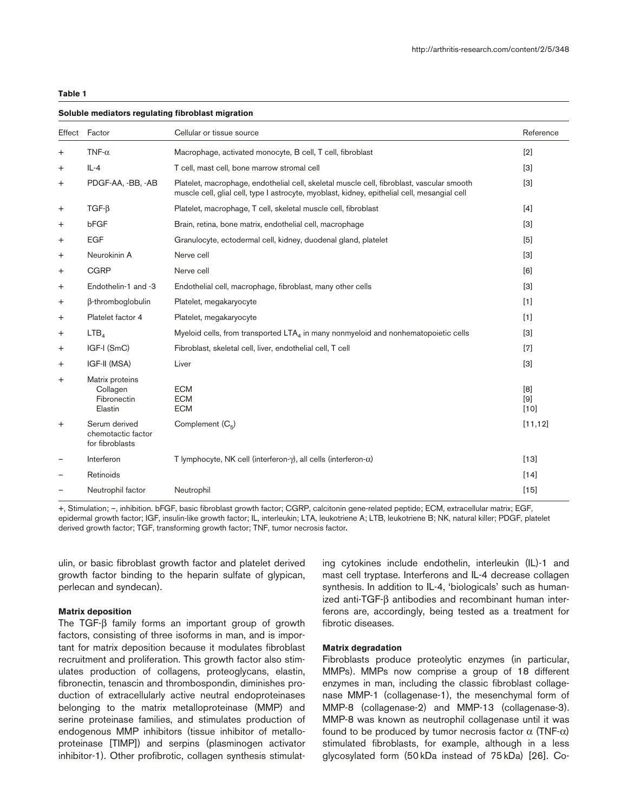|           | Effect Factor                                          | Cellular or tissue source                                                                                                                                                                 | Reference          |
|-----------|--------------------------------------------------------|-------------------------------------------------------------------------------------------------------------------------------------------------------------------------------------------|--------------------|
| $^{+}$    | TNF- $\alpha$                                          | Macrophage, activated monocyte, B cell, T cell, fibroblast                                                                                                                                | [2]                |
| $\pm$     | $IL - 4$                                               | T cell, mast cell, bone marrow stromal cell                                                                                                                                               | $\lceil 3 \rceil$  |
| $\ddot{}$ | PDGF-AA, -BB, -AB                                      | Platelet, macrophage, endothelial cell, skeletal muscle cell, fibroblast, vascular smooth<br>muscle cell, glial cell, type I astrocyte, myoblast, kidney, epithelial cell, mesangial cell | $\lceil 3 \rceil$  |
| $\,^+$    | $TGF-\beta$                                            | Platelet, macrophage, T cell, skeletal muscle cell, fibroblast                                                                                                                            | $[4]$              |
| $\pm$     | bFGF                                                   | Brain, retina, bone matrix, endothelial cell, macrophage                                                                                                                                  | $\lceil 3 \rceil$  |
| $\pm$     | <b>EGF</b>                                             | Granulocyte, ectodermal cell, kidney, duodenal gland, platelet                                                                                                                            | [5]                |
| $\pm$     | Neurokinin A                                           | Nerve cell                                                                                                                                                                                | $[3]$              |
| $\ddot{}$ | <b>CGRP</b>                                            | Nerve cell                                                                                                                                                                                | [6]                |
| $\ddot{}$ | Endothelin-1 and -3                                    | Endothelial cell, macrophage, fibroblast, many other cells                                                                                                                                | $[3]$              |
| $\ddot{}$ | β-thromboglobulin                                      | Platelet, megakaryocyte                                                                                                                                                                   | [1]                |
| $\ddot{}$ | Platelet factor 4                                      | Platelet, megakaryocyte                                                                                                                                                                   | [1]                |
| $\ddot{}$ | LTB <sub>A</sub>                                       | Myeloid cells, from transported LTA <sub>4</sub> in many nonmyeloid and nonhematopoietic cells                                                                                            | $\lceil 3 \rceil$  |
| $\ddot{}$ | IGF-I (SmC)                                            | Fibroblast, skeletal cell, liver, endothelial cell, T cell                                                                                                                                | $[7]$              |
| $\ddot{}$ | IGF-II (MSA)                                           | Liver                                                                                                                                                                                     | $\lceil 3 \rceil$  |
| $\ddot{}$ | Matrix proteins<br>Collagen<br>Fibronectin<br>Elastin  | <b>ECM</b><br><b>ECM</b><br><b>ECM</b>                                                                                                                                                    | [8]<br>[9]<br>[10] |
| $\ddot{}$ | Serum derived<br>chemotactic factor<br>for fibroblasts | Complement $(C_5)$                                                                                                                                                                        | [11, 12]           |
|           | Interferon                                             | T lymphocyte, NK cell (interferon- $\gamma$ ), all cells (interferon- $\alpha$ )                                                                                                          | $[13]$             |
|           | Retinoids                                              |                                                                                                                                                                                           | $[14]$             |
|           | Neutrophil factor                                      | Neutrophil                                                                                                                                                                                | [15]               |
|           |                                                        |                                                                                                                                                                                           |                    |

### **Soluble mediators regulating fibroblast migration**

+, Stimulation; –, inhibition. bFGF, basic fibroblast growth factor; CGRP, calcitonin gene-related peptide; ECM, extracellular matrix; EGF, epidermal growth factor; IGF, insulin-like growth factor; IL, interleukin; LTA, leukotriene A; LTB, leukotriene B; NK, natural killer; PDGF, platelet derived growth factor; TGF, transforming growth factor; TNF, tumor necrosis factor**.**

ulin, or basic fibroblast growth factor and platelet derived growth factor binding to the heparin sulfate of glypican, perlecan and syndecan).

## **Matrix deposition**

The TGF-β family forms an important group of growth factors, consisting of three isoforms in man, and is important for matrix deposition because it modulates fibroblast recruitment and proliferation. This growth factor also stimulates production of collagens, proteoglycans, elastin, fibronectin, tenascin and thrombospondin, diminishes production of extracellularly active neutral endoproteinases belonging to the matrix metalloproteinase (MMP) and serine proteinase families, and stimulates production of endogenous MMP inhibitors (tissue inhibitor of metalloproteinase [TIMP]) and serpins (plasminogen activator inhibitor-1). Other profibrotic, collagen synthesis stimulating cytokines include endothelin, interleukin (IL)-1 and mast cell tryptase. Interferons and IL-4 decrease collagen synthesis. In addition to IL-4, 'biologicals' such as humanized anti-TGF-β antibodies and recombinant human interferons are, accordingly, being tested as a treatment for fibrotic diseases.

### **Matrix degradation**

Fibroblasts produce proteolytic enzymes (in particular, MMPs). MMPs now comprise a group of 18 different enzymes in man, including the classic fibroblast collagenase MMP-1 (collagenase-1), the mesenchymal form of MMP-8 (collagenase-2) and MMP-13 (collagenase-3). MMP-8 was known as neutrophil collagenase until it was found to be produced by tumor necrosis factor  $\alpha$  (TNF- $\alpha$ ) stimulated fibroblasts, for example, although in a less glycosylated form (50 kDa instead of 75 kDa) [26]. Co-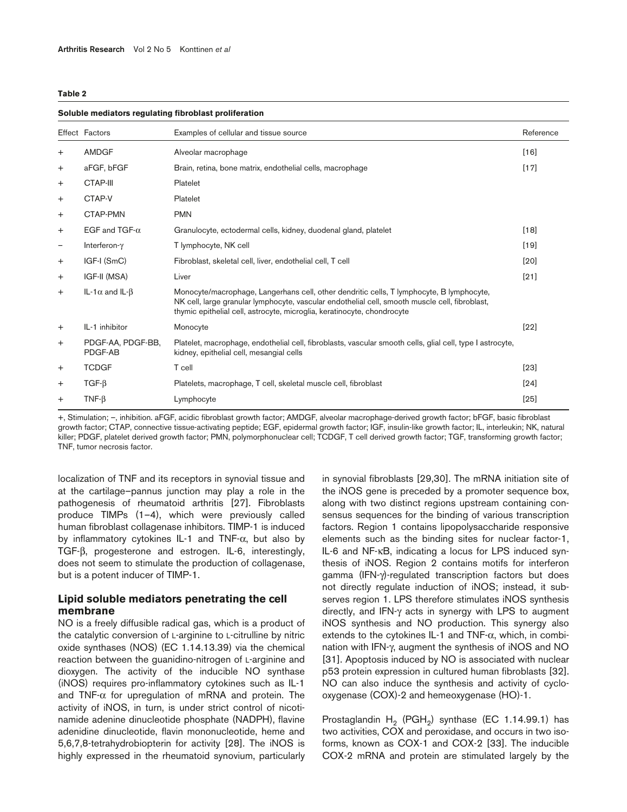| Soluble mediators regulating fibroblast proliferation |                               |                                                                                                                                                                                                                                                                       |           |  |  |
|-------------------------------------------------------|-------------------------------|-----------------------------------------------------------------------------------------------------------------------------------------------------------------------------------------------------------------------------------------------------------------------|-----------|--|--|
|                                                       | Effect Factors                | Examples of cellular and tissue source                                                                                                                                                                                                                                | Reference |  |  |
| $^{+}$                                                | <b>AMDGF</b>                  | Alveolar macrophage                                                                                                                                                                                                                                                   | [16]      |  |  |
| $\ddot{}$                                             | aFGF, bFGF                    | Brain, retina, bone matrix, endothelial cells, macrophage                                                                                                                                                                                                             | $[17]$    |  |  |
| $^+$                                                  | CTAP-III                      | Platelet                                                                                                                                                                                                                                                              |           |  |  |
| $\pm$                                                 | CTAP-V                        | Platelet                                                                                                                                                                                                                                                              |           |  |  |
| $\pm$                                                 | CTAP-PMN                      | <b>PMN</b>                                                                                                                                                                                                                                                            |           |  |  |
| $^+$                                                  | EGF and TGF- $\alpha$         | Granulocyte, ectodermal cells, kidney, duodenal gland, platelet                                                                                                                                                                                                       | $[18]$    |  |  |
| $\qquad \qquad -$                                     | Interferon-y                  | T lymphocyte, NK cell                                                                                                                                                                                                                                                 | $[19]$    |  |  |
| $^+$                                                  | IGF-I (SmC)                   | Fibroblast, skeletal cell, liver, endothelial cell, T cell                                                                                                                                                                                                            | [20]      |  |  |
| $\ddot{}$                                             | IGF-II (MSA)                  | Liver                                                                                                                                                                                                                                                                 | $[21]$    |  |  |
| $^{+}$                                                | IL-1 $\alpha$ and IL- $\beta$ | Monocyte/macrophage, Langerhans cell, other dendritic cells, T lymphocyte, B lymphocyte,<br>NK cell, large granular lymphocyte, vascular endothelial cell, smooth muscle cell, fibroblast,<br>thymic epithelial cell, astrocyte, microglia, keratinocyte, chondrocyte |           |  |  |
| $^{+}$                                                | IL-1 inhibitor                | Monocyte                                                                                                                                                                                                                                                              | $[22]$    |  |  |
| $\ddot{}$                                             | PDGF-AA, PDGF-BB,<br>PDGF-AB  | Platelet, macrophage, endothelial cell, fibroblasts, vascular smooth cells, glial cell, type I astrocyte,<br>kidney, epithelial cell, mesangial cells                                                                                                                 |           |  |  |
| $\pm$                                                 | <b>TCDGF</b>                  | T cell                                                                                                                                                                                                                                                                | $[23]$    |  |  |
| $\pm$                                                 | $TGF-\beta$                   | Platelets, macrophage, T cell, skeletal muscle cell, fibroblast                                                                                                                                                                                                       | $[24]$    |  |  |
| $\pm$                                                 | $TNF-B$                       | Lymphocyte                                                                                                                                                                                                                                                            | $[25]$    |  |  |
|                                                       |                               |                                                                                                                                                                                                                                                                       |           |  |  |

+, Stimulation; –, inhibition. aFGF, acidic fibroblast growth factor; AMDGF, alveolar macrophage-derived growth factor; bFGF, basic fibroblast growth factor; CTAP, connective tissue-activating peptide; EGF, epidermal growth factor; IGF, insulin-like growth factor; IL, interleukin; NK, natural killer; PDGF, platelet derived growth factor; PMN, polymorphonuclear cell; TCDGF, T cell derived growth factor; TGF, transforming growth factor; TNF, tumor necrosis factor.

localization of TNF and its receptors in synovial tissue and at the cartilage–pannus junction may play a role in the pathogenesis of rheumatoid arthritis [27]. Fibroblasts produce TIMPs (1–4), which were previously called human fibroblast collagenase inhibitors. TIMP-1 is induced by inflammatory cytokines IL-1 and TNF-α, but also by TGF-β, progesterone and estrogen. IL-6, interestingly, does not seem to stimulate the production of collagenase, but is a potent inducer of TIMP-1.

# **Lipid soluble mediators penetrating the cell membrane**

NO is a freely diffusible radical gas, which is a product of the catalytic conversion of L-arginine to L-citrulline by nitric oxide synthases (NOS) (EC 1.14.13.39) via the chemical reaction between the guanidino-nitrogen of L-arginine and dioxygen. The activity of the inducible NO synthase (iNOS) requires pro-inflammatory cytokines such as IL-1 and TNF- $\alpha$  for upregulation of mRNA and protein. The activity of iNOS, in turn, is under strict control of nicotinamide adenine dinucleotide phosphate (NADPH), flavine adenidine dinucleotide, flavin mononucleotide, heme and 5,6,7,8-tetrahydrobiopterin for activity [28]. The iNOS is highly expressed in the rheumatoid synovium, particularly

in synovial fibroblasts [29,30]. The mRNA initiation site of the iNOS gene is preceded by a promoter sequence box, along with two distinct regions upstream containing consensus sequences for the binding of various transcription factors. Region 1 contains lipopolysaccharide responsive elements such as the binding sites for nuclear factor-1, IL-6 and NF-κB, indicating a locus for LPS induced synthesis of iNOS. Region 2 contains motifs for interferon gamma (IFN-γ)-regulated transcription factors but does not directly regulate induction of iNOS; instead, it subserves region 1. LPS therefore stimulates iNOS synthesis directly, and IFN-γ acts in synergy with LPS to augment iNOS synthesis and NO production. This synergy also extends to the cytokines IL-1 and TNF- $\alpha$ , which, in combination with IFN-γ, augment the synthesis of iNOS and NO [31]. Apoptosis induced by NO is associated with nuclear p53 protein expression in cultured human fibroblasts [32]. NO can also induce the synthesis and activity of cyclooxygenase (COX)-2 and hemeoxygenase (HO)-1.

Prostaglandin  $H_2$  (PGH<sub>2</sub>) synthase (EC 1.14.99.1) has two activities, COX and peroxidase, and occurs in two isoforms, known as COX-1 and COX-2 [33]. The inducible COX-2 mRNA and protein are stimulated largely by the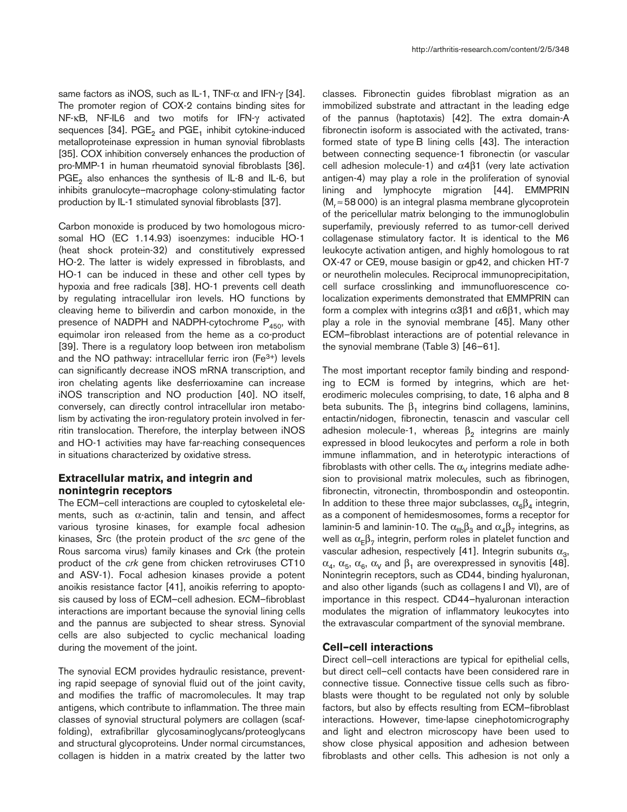same factors as iNOS, such as IL-1, TNF- $\alpha$  and IFN- $\gamma$  [34]. The promoter region of COX-2 contains binding sites for NF-κB, NF-IL6 and two motifs for IFN-γ activated sequences [34]. PGE<sub>2</sub> and PGE<sub>1</sub> inhibit cytokine-induced metalloproteinase expression in human synovial fibroblasts [35]. COX inhibition conversely enhances the production of pro-MMP-1 in human rheumatoid synovial fibroblasts [36]. PGE<sub>2</sub> also enhances the synthesis of IL-8 and IL-6, but inhibits granulocyte–macrophage colony-stimulating factor production by IL-1 stimulated synovial fibroblasts [37].

Carbon monoxide is produced by two homologous microsomal HO (EC 1.14.93) isoenzymes: inducible HO-1 (heat shock protein-32) and constitutively expressed HO-2. The latter is widely expressed in fibroblasts, and HO-1 can be induced in these and other cell types by hypoxia and free radicals [38]. HO-1 prevents cell death by regulating intracellular iron levels. HO functions by cleaving heme to biliverdin and carbon monoxide, in the presence of NADPH and NADPH-cytochrome  $P_{450}$ , with equimolar iron released from the heme as a co-product [39]. There is a regulatory loop between iron metabolism and the NO pathway: intracellular ferric iron  $(Fe^{3+})$  levels can significantly decrease iNOS mRNA transcription, and iron chelating agents like desferrioxamine can increase iNOS transcription and NO production [40]. NO itself, conversely, can directly control intracellular iron metabolism by activating the iron-regulatory protein involved in ferritin translocation. Therefore, the interplay between iNOS and HO-1 activities may have far-reaching consequences in situations characterized by oxidative stress.

# **Extracellular matrix, and integrin and nonintegrin receptors**

The ECM–cell interactions are coupled to cytoskeletal elements, such as α-actinin, talin and tensin, and affect various tyrosine kinases, for example focal adhesion kinases, Src (the protein product of the *src* gene of the Rous sarcoma virus) family kinases and Crk (the protein product of the *crk* gene from chicken retroviruses CT10 and ASV-1). Focal adhesion kinases provide a potent anoikis resistance factor [41], anoikis referring to apoptosis caused by loss of ECM–cell adhesion. ECM–fibroblast interactions are important because the synovial lining cells and the pannus are subjected to shear stress. Synovial cells are also subjected to cyclic mechanical loading during the movement of the joint.

The synovial ECM provides hydraulic resistance, preventing rapid seepage of synovial fluid out of the joint cavity, and modifies the traffic of macromolecules. It may trap antigens, which contribute to inflammation. The three main classes of synovial structural polymers are collagen (scaffolding), extrafibrillar glycosaminoglycans/proteoglycans and structural glycoproteins. Under normal circumstances, collagen is hidden in a matrix created by the latter two

classes. Fibronectin guides fibroblast migration as an immobilized substrate and attractant in the leading edge of the pannus (haptotaxis) [42]. The extra domain-A fibronectin isoform is associated with the activated, transformed state of type B lining cells [43]. The interaction between connecting sequence-1 fibronectin (or vascular cell adhesion molecule-1) and  $α4β1$  (very late activation antigen-4) may play a role in the proliferation of synovial lining and lymphocyte migration [44]. EMMPRIN (M<sub>r</sub> ≈58 000) is an integral plasma membrane glycoprotein of the pericellular matrix belonging to the immunoglobulin superfamily, previously referred to as tumor-cell derived collagenase stimulatory factor. It is identical to the M6 leukocyte activation antigen, and highly homologous to rat OX-47 or CE9, mouse basigin or gp42, and chicken HT-7 or neurothelin molecules. Reciprocal immunoprecipitation, cell surface crosslinking and immunofluorescence colocalization experiments demonstrated that EMMPRIN can form a complex with integrins α3β1 and α6β1, which may play a role in the synovial membrane [45]. Many other ECM–fibroblast interactions are of potential relevance in the synovial membrane (Table 3) [46–61].

The most important receptor family binding and responding to ECM is formed by integrins, which are heterodimeric molecules comprising, to date, 16 alpha and 8 beta subunits. The  $\beta_1$  integrins bind collagens, laminins, entactin/nidogen, fibronectin, tenascin and vascular cell adhesion molecule-1, whereas  $β_2$  integrins are mainly expressed in blood leukocytes and perform a role in both immune inflammation, and in heterotypic interactions of fibroblasts with other cells. The  $\alpha_V$  integrins mediate adhesion to provisional matrix molecules, such as fibrinogen, fibronectin, vitronectin, thrombospondin and osteopontin. In addition to these three major subclasses,  $\alpha_6\beta_4$  integrin, as a component of hemidesmosomes, forms a receptor for laminin-5 and laminin-10. The  $\alpha_{\text{IIb}}\beta_3$  and  $\alpha_4\beta_7$  integrins, as well as  $\alpha_{\text{F}}\beta_{7}$  integrin, perform roles in platelet function and vascular adhesion, respectively [41]. Integrin subunits  $\alpha_3$ ,  $\alpha_4$ ,  $\alpha_5$ ,  $\alpha_6$ ,  $\alpha_V$  and  $\beta_1$  are overexpressed in synovitis [48]. Nonintegrin receptors, such as CD44, binding hyaluronan, and also other ligands (such as collagens I and VI), are of importance in this respect. CD44–hyaluronan interaction modulates the migration of inflammatory leukocytes into the extravascular compartment of the synovial membrane.

### **Cell–cell interactions**

Direct cell–cell interactions are typical for epithelial cells, but direct cell–cell contacts have been considered rare in connective tissue. Connective tissue cells such as fibroblasts were thought to be regulated not only by soluble factors, but also by effects resulting from ECM–fibroblast interactions. However, time-lapse cinephotomicrography and light and electron microscopy have been used to show close physical apposition and adhesion between fibroblasts and other cells. This adhesion is not only a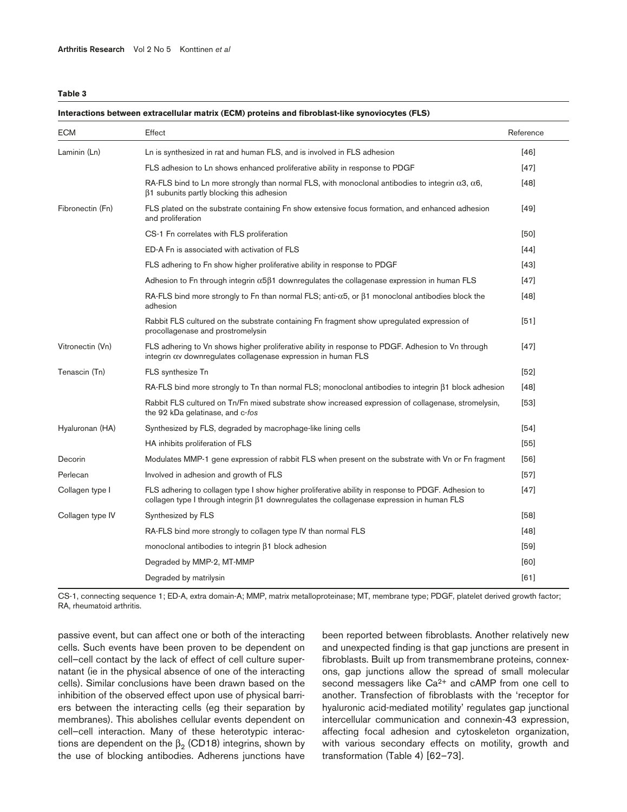| <b>ECM</b>       | Effect                                                                                                                                                                                                 | Reference |
|------------------|--------------------------------------------------------------------------------------------------------------------------------------------------------------------------------------------------------|-----------|
| Laminin (Ln)     | Ln is synthesized in rat and human FLS, and is involved in FLS adhesion                                                                                                                                | [46]      |
|                  | FLS adhesion to Ln shows enhanced proliferative ability in response to PDGF                                                                                                                            | $[47]$    |
|                  | RA-FLS bind to Ln more strongly than normal FLS, with monoclonal antibodies to integrin $\alpha$ 3, $\alpha$ 6,<br>$\beta$ 1 subunits partly blocking this adhesion                                    | $[48]$    |
| Fibronectin (Fn) | FLS plated on the substrate containing Fn show extensive focus formation, and enhanced adhesion<br>and proliferation                                                                                   | $[49]$    |
|                  | CS-1 Fn correlates with FLS proliferation                                                                                                                                                              | [50]      |
|                  | ED-A Fn is associated with activation of FLS                                                                                                                                                           | $[44]$    |
|                  | FLS adhering to Fn show higher proliferative ability in response to PDGF                                                                                                                               | $[43]$    |
|                  | Adhesion to Fn through integrin $\alpha$ 5 $\beta$ 1 downregulates the collagenase expression in human FLS                                                                                             | $[47]$    |
|                  | RA-FLS bind more strongly to Fn than normal FLS; anti- $\alpha$ 5, or $\beta$ 1 monoclonal antibodies block the<br>adhesion                                                                            | $[48]$    |
|                  | Rabbit FLS cultured on the substrate containing Fn fragment show upregulated expression of<br>procollagenase and prostromelysin                                                                        | [51]      |
| Vitronectin (Vn) | FLS adhering to Vn shows higher proliferative ability in response to PDGF. Adhesion to Vn through<br>integrin $\alpha$ downregulates collagenase expression in human FLS                               | $[47]$    |
| Tenascin (Tn)    | FLS synthesize Tn                                                                                                                                                                                      | $[52]$    |
|                  | RA-FLS bind more strongly to Tn than normal FLS; monoclonal antibodies to integrin $\beta$ 1 block adhesion                                                                                            | $[48]$    |
|                  | Rabbit FLS cultured on Tn/Fn mixed substrate show increased expression of collagenase, stromelysin,<br>the 92 kDa gelatinase, and c-fos                                                                | [53]      |
| Hyaluronan (HA)  | Synthesized by FLS, degraded by macrophage-like lining cells                                                                                                                                           | $[54]$    |
|                  | HA inhibits proliferation of FLS                                                                                                                                                                       | [55]      |
| Decorin          | Modulates MMP-1 gene expression of rabbit FLS when present on the substrate with Vn or Fn fragment                                                                                                     | $[56]$    |
| Perlecan         | Involved in adhesion and growth of FLS                                                                                                                                                                 | $[57]$    |
| Collagen type I  | FLS adhering to collagen type I show higher proliferative ability in response to PDGF. Adhesion to<br>collagen type I through integrin $\beta$ 1 downregulates the collagenase expression in human FLS | $[47]$    |
| Collagen type IV | Synthesized by FLS                                                                                                                                                                                     | $[58]$    |
|                  | RA-FLS bind more strongly to collagen type IV than normal FLS                                                                                                                                          | $[48]$    |
|                  | monoclonal antibodies to integrin $\beta$ 1 block adhesion                                                                                                                                             | $[59]$    |
|                  | Degraded by MMP-2, MT-MMP                                                                                                                                                                              | [60]      |
|                  | Degraded by matrilysin                                                                                                                                                                                 | [61]      |

**Interactions between extracellular matrix (ECM) proteins and fibroblast-like synoviocytes (FLS)**

CS-1, connecting sequence 1; ED-A, extra domain-A; MMP, matrix metalloproteinase; MT, membrane type; PDGF, platelet derived growth factor; RA, rheumatoid arthritis.

passive event, but can affect one or both of the interacting cells. Such events have been proven to be dependent on cell–cell contact by the lack of effect of cell culture supernatant (ie in the physical absence of one of the interacting cells). Similar conclusions have been drawn based on the inhibition of the observed effect upon use of physical barriers between the interacting cells (eg their separation by membranes). This abolishes cellular events dependent on cell–cell interaction. Many of these heterotypic interactions are dependent on the  $β_2$  (CD18) integrins, shown by the use of blocking antibodies. Adherens junctions have

been reported between fibroblasts. Another relatively new and unexpected finding is that gap junctions are present in fibroblasts. Built up from transmembrane proteins, connexons, gap junctions allow the spread of small molecular second messagers like Ca<sup>2+</sup> and cAMP from one cell to another. Transfection of fibroblasts with the 'receptor for hyaluronic acid-mediated motility' regulates gap junctional intercellular communication and connexin-43 expression, affecting focal adhesion and cytoskeleton organization, with various secondary effects on motility, growth and transformation (Table 4) [62–73].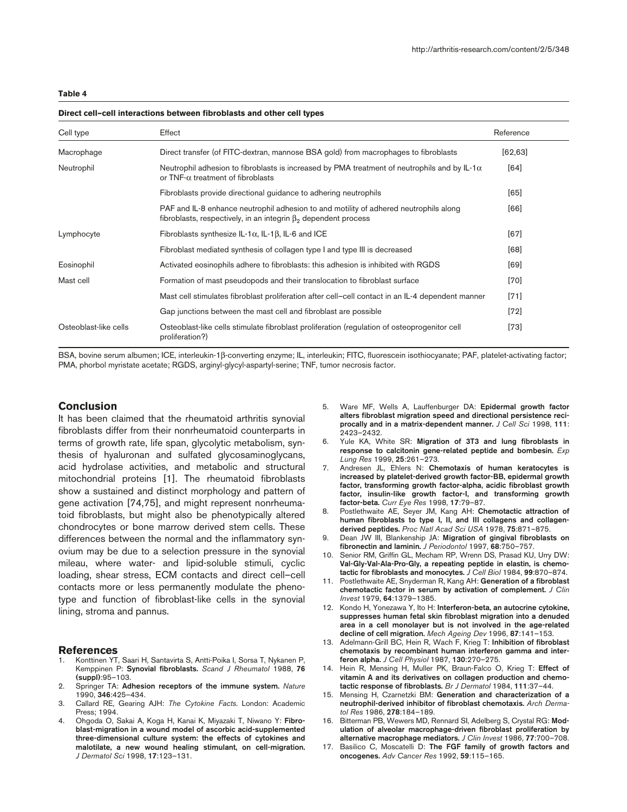| Cell type             | Effect                                                                                                                                                         | Reference |
|-----------------------|----------------------------------------------------------------------------------------------------------------------------------------------------------------|-----------|
| Macrophage            | Direct transfer (of FITC-dextran, mannose BSA gold) from macrophages to fibroblasts                                                                            | [62, 63]  |
| Neutrophil            | Neutrophil adhesion to fibroblasts is increased by PMA treatment of neutrophils and by IL-1 $\alpha$<br>or $TNF - \alpha$ treatment of fibroblasts             | [64]      |
|                       | Fibroblasts provide directional guidance to adhering neutrophils                                                                                               | [65]      |
|                       | PAF and IL-8 enhance neutrophil adhesion to and motility of adhered neutrophils along<br>fibroblasts, respectively, in an integrin $\beta_2$ dependent process | [66]      |
| Lymphocyte            | Fibroblasts synthesize IL-1 $\alpha$ , IL-1 $\beta$ , IL-6 and ICE                                                                                             | $[67]$    |
|                       | Fibroblast mediated synthesis of collagen type I and type III is decreased                                                                                     | [68]      |
| Eosinophil            | Activated eosinophils adhere to fibroblasts: this adhesion is inhibited with RGDS                                                                              | [69]      |
| Mast cell             | Formation of mast pseudopods and their translocation to fibroblast surface                                                                                     | $[70]$    |
|                       | Mast cell stimulates fibroblast proliferation after cell-cell contact in an IL-4 dependent manner                                                              | $[71]$    |
|                       | Gap junctions between the mast cell and fibroblast are possible                                                                                                | $[72]$    |
| Osteoblast-like cells | Osteoblast-like cells stimulate fibroblast proliferation (regulation of osteoprogenitor cell<br>proliferation?)                                                | $[73]$    |

#### **Direct cell–cell interactions between fibroblasts and other cell types**

BSA, bovine serum albumen; ICE, interleukin-1β-converting enzyme; IL, interleukin; FITC, fluorescein isothiocyanate; PAF, platelet-activating factor; PMA, phorbol myristate acetate; RGDS, arginyl-glycyl-aspartyl-serine; TNF, tumor necrosis factor.

# **Conclusion**

It has been claimed that the rheumatoid arthritis synovial fibroblasts differ from their nonrheumatoid counterparts in terms of growth rate, life span, glycolytic metabolism, synthesis of hyaluronan and sulfated glycosaminoglycans, acid hydrolase activities, and metabolic and structural mitochondrial proteins [1]. The rheumatoid fibroblasts show a sustained and distinct morphology and pattern of gene activation [74,75], and might represent nonrheumatoid fibroblasts, but might also be phenotypically altered chondrocytes or bone marrow derived stem cells. These differences between the normal and the inflammatory synovium may be due to a selection pressure in the synovial mileau, where water- and lipid-soluble stimuli, cyclic loading, shear stress, ECM contacts and direct cell–cell contacts more or less permanently modulate the phenotype and function of fibroblast-like cells in the synovial lining, stroma and pannus.

### **References**

- 1. Konttinen YT, Saari H, Santavirta S, Antti-Poika I, Sorsa T, Nykanen P, Kemppinen P: **Synovial fibroblasts.** *Scand J Rheumatol* 1988, **76 (suppl)**:95–103.
- 2. Springer TA: **Adhesion receptors of the immune system.** *Nature* 1990, **346**:425–434.
- 3. Callard RE, Gearing AJH: *The Cytokine Facts*. London: Academic Press; 1994.
- 4. Ohgoda O, Sakai A, Koga H, Kanai K, Miyazaki T, Niwano Y: **Fibroblast-migration in a wound model of ascorbic acid-supplemented three-dimensional culture system: the effects of cytokines and malotilate, a new wound healing stimulant, on cell-migration.** *J Dermatol Sci* 1998, **17**:123–131.
- 5. Ware MF, Wells A, Lauffenburger DA: **Epidermal growth factor alters fibroblast migration speed and directional persistence reciprocally and in a matrix-dependent manner.** *J Cell Sci* 1998, **111**: 2423–2432.
- 6. Yule KA, White SR: **Migration of 3T3 and lung fibroblasts in response to calcitonin gene-related peptide and bombesin.** *Exp Lung Res* 1999, **25**:261–273.
- 7. Andresen JL, Ehlers N: **Chemotaxis of human keratocytes is increased by platelet-derived growth factor-BB, epidermal growth factor, transforming growth factor-alpha, acidic fibroblast growth factor, insulin-like growth factor-I, and transforming growth factor-beta.** *Curr Eye Res* 1998, **17**:79–87.
- 8. Postlethwaite AE, Seyer JM, Kang AH: **Chemotactic attraction of human fibroblasts to type I, II, and III collagens and collagenderived peptides.** *Proc Natl Acad Sci USA* 1978, **75**:871–875.
- 9. Dean JW III, Blankenship JA: **Migration of gingival fibroblasts on fibronectin and laminin.** *J Periodontol* 1997, **68**:750–757.
- 10. Senior RM, Griffin GL, Mecham RP, Wrenn DS, Prasad KU, Urry DW: **Val-Gly-Val-Ala-Pro-Gly, a repeating peptide in elastin, is chemotactic for fibroblasts and monocytes.** *J Cell Biol* 1984, **99**:870–874.
- 11. Postlethwaite AE, Snyderman R, Kang AH: **Generation of a fibroblast chemotactic factor in serum by activation of complement.** *J Clin Invest* 1979, **64**:1379–1385.
- 12. Kondo H, Yonezawa Y, Ito H: **Interferon-beta, an autocrine cytokine, suppresses human fetal skin fibroblast migration into a denuded area in a cell monolayer but is not involved in the age-related decline of cell migration.** *Mech Ageing Dev* 1996, **87**:141–153.
- 13. Adelmann-Grill BC, Hein R, Wach F, Krieg T: **Inhibition of fibroblast chemotaxis by recombinant human interferon gamma and interferon alpha.** *J Cell Physiol* 1987, **130**:270–275.
- 14. Hein R, Mensing H, Muller PK, Braun-Falco O, Krieg T: **Effect of vitamin A and its derivatives on collagen production and chemotactic response of fibroblasts.** *Br J Dermatol* 1984, **111**:37–44.
- 15. Mensing H, Czarnetzki BM: **Generation and characterization of a neutrophil-derived inhibitor of fibroblast chemotaxis.** *Arch Dermatol Res* 1986, **278**:184–189.
- 16. Bitterman PB, Wewers MD, Rennard SI, Adelberg S, Crystal RG: **Modulation of alveolar macrophage-driven fibroblast proliferation by alternative macrophage mediators.** *J Clin Invest* 1986, **77**:700–708.
- 17. Basilico C, Moscatelli D: **The FGF family of growth factors and oncogenes.** *Adv Cancer Res* 1992, **59**:115–165.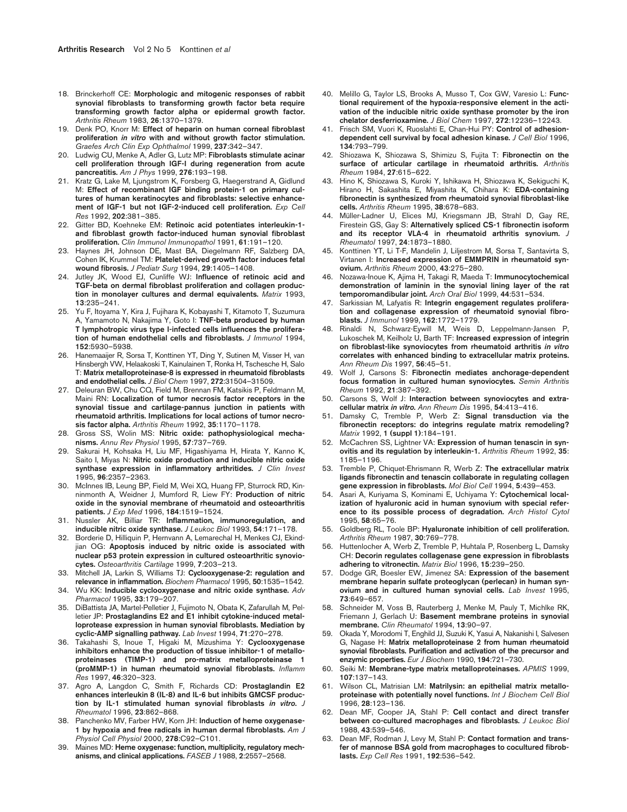- 18. Brinckerhoff CE: **Morphologic and mitogenic responses of rabbit synovial fibroblasts to transforming growth factor beta require transforming growth factor alpha or epidermal growth factor.** *Arthritis Rheum* 1983, **26**:1370–1379.
- 19. Denk PO, Knorr M: **Effect of heparin on human corneal fibroblast proliferation** *in vitro* **with and without growth factor stimulation.** *Graefes Arch Clin Exp Ophthalmol* 1999, **237**:342–347.
- 20. Ludwig CU, Menke A, Adler G, Lutz MP: **Fibroblasts stimulate acinar cell proliferation through IGF-I during regeneration from acute pancreatitis.** *Am J Phys* 1999, **276**:193–198.
- 21. Kratz G, Lake M, Ljungstrom K, Forsberg G, Haegerstrand A, Gidlund M: **Effect of recombinant IGF binding protein-1 on primary cultures of human keratinocytes and fibroblasts: selective enhancement of IGF-1 but not IGF-2-induced cell proliferation.** *Exp Cell Res* 1992, **202**:381–385.
- 22. Gitter BD, Koehneke EM: **Retinoic acid potentiates interleukin-1 and fibroblast growth factor-induced human synovial fibroblast proliferation.** *Clin Immunol Immunopathol* 1991, **61**:191–120.
- 23. Haynes JH, Johnson DE, Mast BA, Diegelmann RF, Salzberg DA, Cohen IK, Krummel TM: **Platelet-derived growth factor induces fetal wound fibrosis.** *J Pediatr Surg* 1994, **29**:1405–1408.
- 24. Jutley JK, Wood EJ, Cunliffe WJ: **Influence of retinoic acid and TGF-beta on dermal fibroblast proliferation and collagen production in monolayer cultures and dermal equivalents.** *Matrix* 1993, **13**:235–241.
- 25. Yu F, Itoyama Y, Kira J, Fujihara K, Kobayashi T, Kitamoto T, Suzumura A, Yamamoto N, Nakajima Y, Goto I: **TNF-beta produced by human T lymphotropic virus type I-infected cells influences the proliferation of human endothelial cells and fibroblasts.** *J Immunol* 1994, **152**:5930–5938.
- 26. Hanemaaijer R, Sorsa T, Konttinen YT, Ding Y, Sutinen M, Visser H, van Hinsbergh VW, Helaakoski T, Kainulainen T, Ronka H, Tschesche H, Salo T: **Matrix metalloproteinase-8 is expressed in rheumatoid fibroblasts and endothelial cells.** *J Biol Chem* 1997, **272**:31504–31509.
- 27. Deleuran BW, Chu CQ, Field M, Brennan FM, Katsikis P, Feldmann M, Maini RN: **Localization of tumor necrosis factor receptors in the synovial tissue and cartilage-pannus junction in patients with rheumatoid arthritis. Implications for local actions of tumor necrosis factor alpha.** *Arthritis Rheum* 1992, **35**:1170–1178.
- 28. Gross SS, Wolin MS: **Nitric oxide: pathophysiological mechanisms.** *Annu Rev Physiol* 1995, **57**:737–769.
- 29. Sakurai H, Kohsaka H, Liu MF, Higashiyama H, Hirata Y, Kanno K, Saito I, Miyas N: **Nitric oxide production and inducible nitric oxide synthase expression in inflammatory arthritides.** *J Clin Invest* 1995, **96**:2357–2363.
- 30. McInnes IB, Leung BP, Field M, Wei XQ, Huang FP, Sturrock RD, Kinninmonth A, Weidner J, Mumford R, Liew FY: **Production of nitric oxide in the synovial membrane of rheumatoid and osteoarthritis patients.** *J Exp Med* 1996, **184**:1519–1524.
- 31. Nussler AK, Billiar TR: **Inflammation, immunoregulation, and inducible nitric oxide synthase.** *J Leukoc Biol* 1993, **54**:171–178.
- 32. Borderie D, Hilliquin P, Hernvann A, Lemarechal H, Menkes CJ, Ekindjian OG: **Apoptosis induced by nitric oxide is associated with nuclear p53 protein expression in cultured osteoarthritic synoviocytes.** *Osteoarthritis Cartilage* 1999, **7**:203–213.
- 33. Mitchell JA, Larkin S, Williams TJ: **Cyclooxygenase-2: regulation and relevance in inflammation.** *Biochem Pharmacol* 1995, **50**:1535–1542.
- 34. Wu KK: **Inducible cyclooxygenase and nitric oxide synthase.** *Adv Pharmacol* 1995, **33**:179–207.
- 35. DiBattista JA, Martel-Pelletier J, Fujimoto N, Obata K, Zafarullah M, Pelletier JP: **Prostaglandins E2 and E1 inhibit cytokine-induced metalloprotease expression in human synovial fibroblasts. Mediation by cyclic-AMP signalling pathway.** *Lab Invest* 1994, **71**:270–278.
- 36. Takahashi S, Inoue T, Higaki M, Mizushima Y: **Cyclooxygenase inhibitors enhance the production of tissue inhibitor-1 of metalloproteinases (TIMP-1) and pro-matrix metalloproteinase 1 (proMMP-1) in human rheumatoid synovial fibroblasts.** *Inflamm Res* 1997, **46**:320–323.
- 37. Agro A, Langdon C, Smith F, Richards CD: **Prostaglandin E2 enhances interleukin 8 (IL-8) and IL-6 but inhibits GMCSF production by IL-1 stimulated human synovial fibroblasts** *in vitro***.** *J Rheumatol* 1996, **23**:862–868.
- 38. Panchenko MV, Farber HW, Korn JH: **Induction of heme oxygenase-1 by hypoxia and free radicals in human dermal fibroblasts.** *Am J Physiol Cell Physiol* 2000, **278**:C92–C101.
- 39. Maines MD: **Heme oxygenase: function, multiplicity, regulatory mechanisms, and clinical applications.** *FASEB J* 1988, **2**:2557–2568.
- 40. Melillo G, Taylor LS, Brooks A, Musso T, Cox GW, Varesio L: **Functional requirement of the hypoxia-responsive element in the activation of the inducible nitric oxide synthase promoter by the iron chelator desferrioxamine.** *J Biol Chem* 1997, **272**:12236–12243.
- 41. Frisch SM, Vuori K, Ruoslahti E, Chan-Hui PY: **Control of adhesiondependent cell survival by focal adhesion kinase.** *J Cell Biol* 1996, **134**:793–799.
- 42. Shiozawa K, Shiozawa S, Shimizu S, Fujita T: **Fibronectin on the surface of articular cartilage in rheumatoid arthritis.** *Arthritis Rheum* 1984, **27**:615–622.
- 43. Hino K, Shiozawa S, Kuroki Y, Ishikawa H, Shiozawa K, Sekiguchi K, Hirano H, Sakashita E, Miyashita K, Chihara K: **EDA-containing fibronectin is synthesized from rheumatoid synovial fibroblast-like cells.** *Arthritis Rheum* 1995, **38**:678–683.
- 44. Müller-Ladner U, Elices MJ, Kriegsmann JB, Strahl D, Gay RE, Firestein GS, Gay S: **Alternatively spliced CS-1 fibronectin isoform and its receptor VLA-4 in rheumatoid arthritis synovium.** *J Rheumatol* 1997, **24**:1873–1880.
- 45. Konttinen YT, Li T-F, Mandelin J, Liljestrom M, Sorsa T, Santavirta S, Virtanen I: **Increased expression of EMMPRIN in rheumatoid synovium.** *Arthritis Rheum* 2000, **43**:275–280.
- 46. Nozawa-Inoue K, Ajima H, Takagi R, Maeda T: **Immunocytochemical demonstration of laminin in the synovial lining layer of the rat temporomandibular joint.** *Arch Oral Biol* 1999, **44**:531–534.
- 47. Sarkissian M, Lafyatis R: **Integrin engagement regulates proliferation and collagenase expression of rheumatoid synovial fibroblasts.** *J Immunol* 1999, **162**:1772–1779.
- 48. Rinaldi N, Schwarz-Eywill M, Weis D, Leppelmann-Jansen P, Lukoschek M, Keilholz U, Barth TF: **Increased expression of integrin on fibroblast-like synoviocytes from rheumatoid arthritis** *in vitro* **correlates with enhanced binding to extracellular matrix proteins.** *Ann Rheum Dis* 1997, **56**:45–51.
- 49. Wolf J, Carsons S: **Fibronectin mediates anchorage-dependent focus formation in cultured human synoviocytes.** *Semin Arthritis Rheum* 1992, **21**:387–392.
- 50. Carsons S, Wolf J: **Interaction between synoviocytes and extracellular matrix** *in vitro***.** *Ann Rheum Dis* 1995, **54**:413–416.
- 51. Damsky C, Tremble P, Werb Z: **Signal transduction via the fibronectin receptors: do integrins regulate matrix remodeling?** *Matrix* 1992, **1 (suppl 1)**:184–191.
- 52. McCachren SS, Lightner VA: **Expression of human tenascin in synovitis and its regulation by interleukin-1.** *Arthritis Rheum* 1992, **35**: 1185–1196.
- 53. Tremble P, Chiquet-Ehrismann R, Werb Z: **The extracellular matrix ligands fibronectin and tenascin collaborate in regulating collagen gene expression in fibroblasts.** *Mol Biol Cell* 1994, **5**:439–453.
- 54. Asari A, Kuriyama S, Kominami E, Uchiyama Y: **Cytochemical localization of hyaluronic acid in human synovium with special reference to its possible process of degradation.** *Arch Histol Cytol* 1995, **58**:65–76.
- 55. Goldberg RL, Toole BP: **Hyaluronate inhibition of cell proliferation.** *Arthritis Rheum* 1987, **30**:769–778.
- 56. Huttenlocher A, Werb Z, Tremble P, Huhtala P, Rosenberg L, Damsky CH: **Decorin regulates collagenase gene expression in fibroblasts adhering to vitronectin.** *Matrix Biol* 1996, **15**:239–250.
- 57. Dodge GR, Boesler EW, Jimenez SA: **Expression of the basement membrane heparin sulfate proteoglycan (perlecan) in human synovium and in cultured human synovial cells.** *Lab Invest* 1995, **73**:649–657.
- 58. Schneider M, Voss B, Rauterberg J, Menke M, Pauly T, Michlke RK, Friemann J, Gerlach U: **Basement membrane proteins in synovial membrane.** *Clin Rheumatol* 1994, **13**:90–97.
- 59. Okada Y, Morodomi T, Enghild JJ, Suzuki K, Yasui A, Nakanishi I, Salvesen G, Nagase H: **Matrix metalloproteinase 2 from human rheumatoid synovial fibroblasts. Purification and activation of the precursor and enzymic properties.** *Eur J Biochem* 1990, **194**:721–730.
- 60. Seiki M: **Membrane-type matrix metalloproteinases.** *APMIS* 1999, **107**:137–143.
- 61. Wilson CL, Matrisian LM: **Matrilysin: an epithelial matrix metalloproteinase with potentially novel functions.** *Int J Biochem Cell Biol* 1996, **28**:123–136.
- 62. Dean MF, Cooper JA, Stahl P: **Cell contact and direct transfer between co-cultured macrophages and fibroblasts.** *J Leukoc Biol* 1988, **43**:539–546.
- 63. Dean MF, Rodman J, Levy M, Stahl P: **Contact formation and transfer of mannose BSA gold from macrophages to cocultured fibroblasts.** *Exp Cell Res* 1991, **192**:536–542.